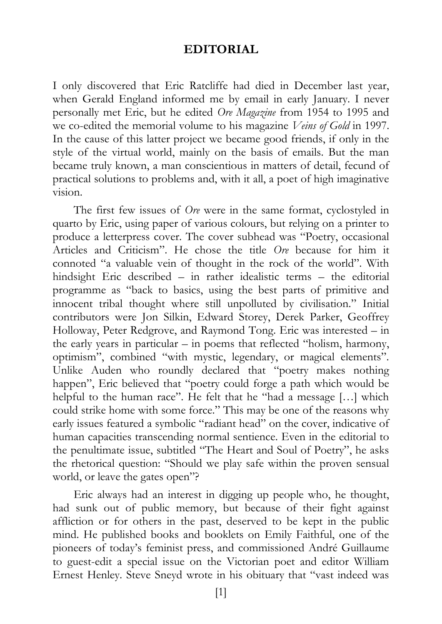## **EDITORIAL**

I only discovered that Eric Ratcliffe had died in December last year, when Gerald England informed me by email in early January. I never personally met Eric, but he edited *Ore Magazine* from 1954 to 1995 and we co-edited the memorial volume to his magazine *Veins of Gold* in 1997. In the cause of this latter project we became good friends, if only in the style of the virtual world, mainly on the basis of emails. But the man became truly known, a man conscientious in matters of detail, fecund of practical solutions to problems and, with it all, a poet of high imaginative vision.

The first few issues of *Ore* were in the same format, cyclostyled in quarto by Eric, using paper of various colours, but relying on a printer to produce a letterpress cover. The cover subhead was "Poetry, occasional Articles and Criticism". He chose the title *Ore* because for him it connoted "a valuable vein of thought in the rock of the world". With hindsight Eric described – in rather idealistic terms – the editorial programme as "back to basics, using the best parts of primitive and innocent tribal thought where still unpolluted by civilisation." Initial contributors were Jon Silkin, Edward Storey, Derek Parker, Geoffrey Holloway, Peter Redgrove, and Raymond Tong. Eric was interested – in the early years in particular – in poems that reflected "holism, harmony, optimism", combined "with mystic, legendary, or magical elements". Unlike Auden who roundly declared that "poetry makes nothing happen", Eric believed that "poetry could forge a path which would be helpful to the human race". He felt that he "had a message […] which could strike home with some force." This may be one of the reasons why early issues featured a symbolic "radiant head" on the cover, indicative of human capacities transcending normal sentience. Even in the editorial to the penultimate issue, subtitled "The Heart and Soul of Poetry", he asks the rhetorical question: "Should we play safe within the proven sensual world, or leave the gates open"?

Eric always had an interest in digging up people who, he thought, had sunk out of public memory, but because of their fight against affliction or for others in the past, deserved to be kept in the public mind. He published books and booklets on Emily Faithful, one of the pioneers of today's feminist press, and commissioned André Guillaume to guest-edit a special issue on the Victorian poet and editor William Ernest Henley. Steve Sneyd wrote in his obituary that "vast indeed was